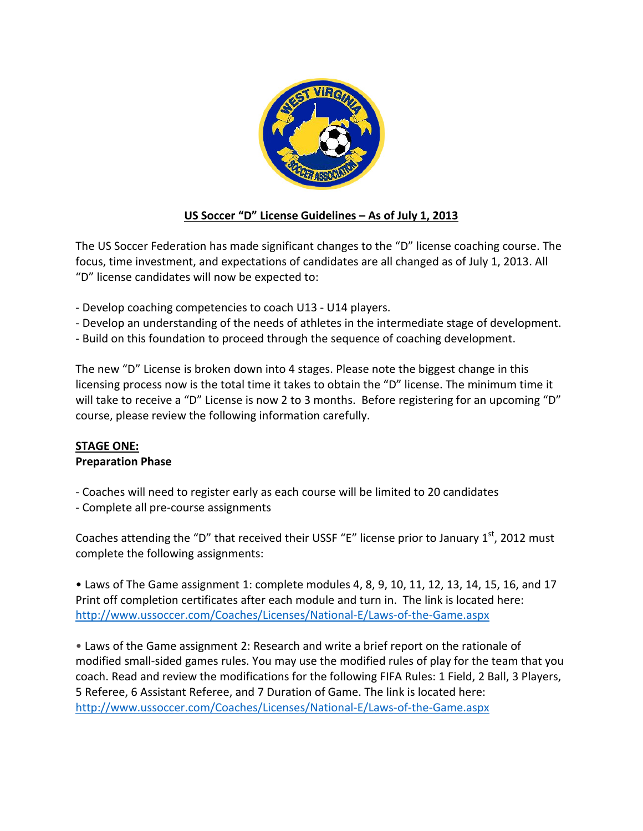

# **US Soccer "D" License Guidelines – As of July 1, 2013**

The US Soccer Federation has made significant changes to the "D" license coaching course. The focus, time investment, and expectations of candidates are all changed as of July 1, 2013. All "D" license candidates will now be expected to:

- Develop coaching competencies to coach U13 U14 players.
- Develop an understanding of the needs of athletes in the intermediate stage of development.
- Build on this foundation to proceed through the sequence of coaching development.

The new "D" License is broken down into 4 stages. Please note the biggest change in this licensing process now is the total time it takes to obtain the "D" license. The minimum time it will take to receive a "D" License is now 2 to 3 months. Before registering for an upcoming "D" course, please review the following information carefully.

#### **STAGE ONE: Preparation Phase**

- Coaches will need to register early as each course will be limited to 20 candidates
- Complete all pre-course assignments

Coaches attending the "D" that received their USSF "E" license prior to January  $1<sup>st</sup>$ , 2012 must complete the following assignments:

• Laws of The Game assignment 1: complete modules 4, 8, 9, 10, 11, 12, 13, 14, 15, 16, and 17 Print off completion certificates after each module and turn in. The link is located here: http://www.ussoccer.com/Coaches/Licenses/National-E/Laws-of-the-Game.aspx

• Laws of the Game assignment 2: Research and write a brief report on the rationale of modified small-sided games rules. You may use the modified rules of play for the team that you coach. Read and review the modifications for the following FIFA Rules: 1 Field, 2 Ball, 3 Players, 5 Referee, 6 Assistant Referee, and 7 Duration of Game. The link is located here: http://www.ussoccer.com/Coaches/Licenses/National-E/Laws-of-the-Game.aspx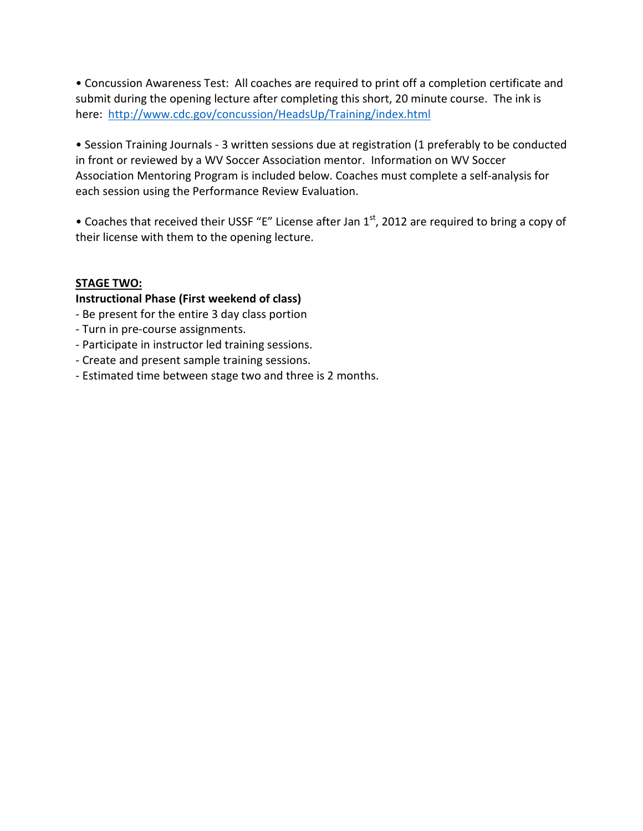• Concussion Awareness Test: All coaches are required to print off a completion certificate and submit during the opening lecture after completing this short, 20 minute course. The ink is here: http://www.cdc.gov/concussion/HeadsUp/Training/index.html

• Session Training Journals - 3 written sessions due at registration (1 preferably to be conducted in front or reviewed by a WV Soccer Association mentor. Information on WV Soccer Association Mentoring Program is included below. Coaches must complete a self-analysis for each session using the Performance Review Evaluation.

• Coaches that received their USSF "E" License after Jan  $1<sup>st</sup>$ , 2012 are required to bring a copy of their license with them to the opening lecture.

## **STAGE TWO:**

## **Instructional Phase (First weekend of class)**

- Be present for the entire 3 day class portion
- Turn in pre-course assignments.
- Participate in instructor led training sessions.
- Create and present sample training sessions.
- Estimated time between stage two and three is 2 months.